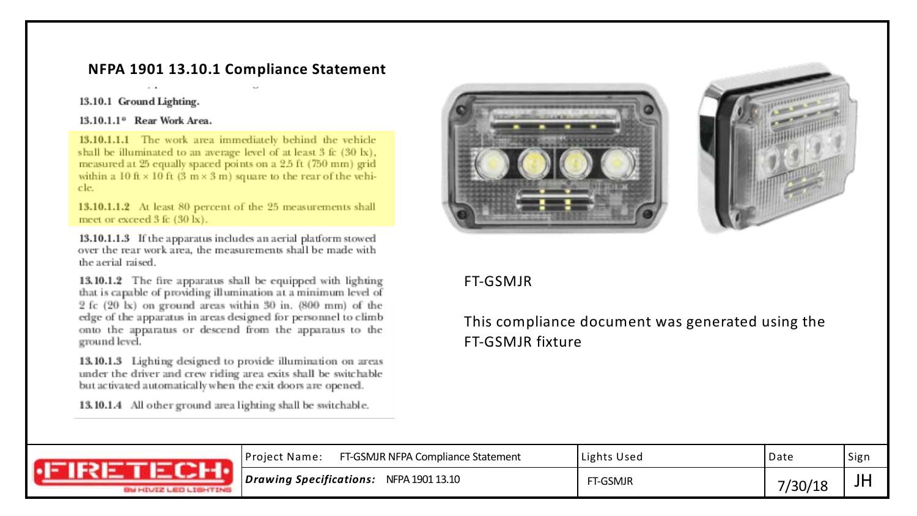## **NFPA 1901 13.10.1 Compliance Statement**

#### 13.10.1 Ground Lighting.

#### 13.10.1.1<sup>®</sup> Rear Work Area.

13.10.1.1.1 The work area immediately behind the vehicle shall be illuminated to an average level of at least 3 fc (30 lx), measured at 25 equally spaced points on a 2.5 ft (750 mm) grid within a 10 ft  $\times$  10 ft (3 m  $\times$  3 m) square to the rear of the vehicle.

13.10.1.1.2 At least 80 percent of the 25 measurements shall meet or exceed 3 fc (30 lx).

13.10.1.1.3 If the apparatus includes an aerial platform stowed over the rear work area, the measurements shall be made with the aerial raised.

13.10.1.2 The fire apparatus shall be equipped with lighting that is capable of providing illumination at a minimum level of 2 fc (20 lx) on ground areas within 30 in. (800 mm) of the edge of the apparatus in areas designed for personnel to climb onto the apparatus or descend from the apparatus to the ground level.

13.10.1.3 Lighting designed to provide illumination on areas under the driver and crew riding area exits shall be switchable but activated automatically when the exit doors are opened.

13.10.1.4 All other ground area lighting shall be switchable.





### FT-GSMJR

# This compliance document was generated using the FT-GSMJR fixture

| <b>GU HIUIZ LEO LIGHTING</b> | FT-GSMJR NFPA Compliance Statement<br>Project Name: | Lights Used | Date     | Sign |
|------------------------------|-----------------------------------------------------|-------------|----------|------|
|                              | Drawing Specifications:<br>NFPA 1901 13.10          | FT-GSMJR    | 7 JUN 10 | JH   |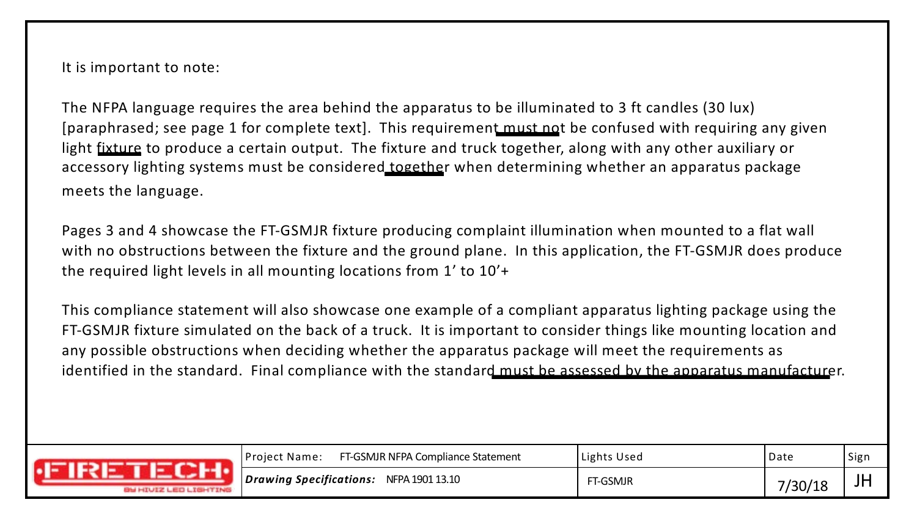It is important to note:

The NFPA language requires the area behind the apparatus to be illuminated to 3 ft candles (30 lux) [paraphrased; see page 1 for complete text]. This requirement must not be confused with requiring any given light fixture to produce a certain output. The fixture and truck together, along with any other auxiliary or accessory lighting systems must be considered together when determining whether an apparatus package meets the language.

Pages 3 and 4 showcase the FT-GSMJR fixture producing complaint illumination when mounted to a flat wall with no obstructions between the fixture and the ground plane. In this application, the FT-GSMJR does produce the required light levels in all mounting locations from 1' to 10'+

This compliance statement will also showcase one example of a compliant apparatus lighting package using the FT-GSMJR fixture simulated on the back of a truck. It is important to consider things like mounting location and any possible obstructions when deciding whether the apparatus package will meet the requirements as identified in the standard. Final compliance with the standard must be assessed by the apparatus manufacturer.

| <b>GU HIUIZ LEO LIGHTING</b> | FT-GSMJR NFPA Compliance Statement<br>  Project Name: | Lights Used | Date    | Sigr |
|------------------------------|-------------------------------------------------------|-------------|---------|------|
|                              | NFPA 1901 13.10<br>Drawing Specifications:            | FT-GSMJR    | 7/30/18 | JF   |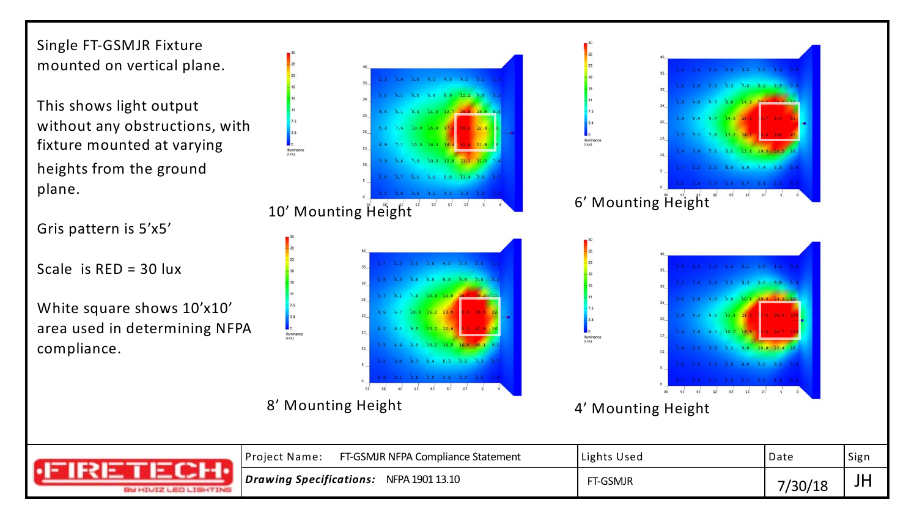Single FT-GSMJR Fixture mounted on vertical plane.

This shows light output without any obstructions, with fixture mounted at varying heights from the ground plane.

Gris pattern is 5'x5'

Scale is  $RED = 30$  lux

White square shows 10'x10' area used in determining NFPA compliance.



 $3.0$   $3.8$  4.3 4.6 4.1  $3.1$  1.1

3.1 4.1 5.5 6.8 8.9 12.2 7.3 3.

6.1 8.4 11.0 12.7 25.8 24.5

 $1.6$  10.9 15.0 17.2 44.2 22.8

10.3 14.3 16.4 41.6 21.8

8' Mounting Height



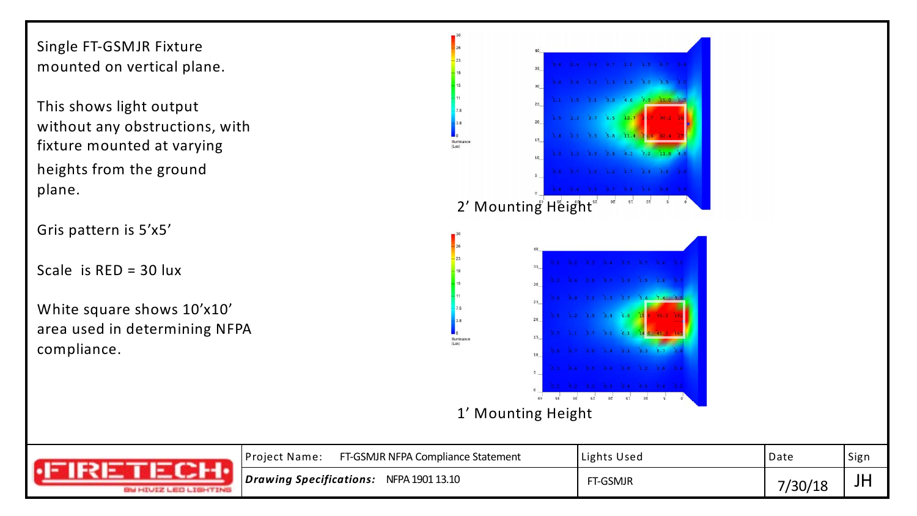Single FT-GSMJR Fixture mounted on vertical plane.

This shows light output without any obstructions, with fixture mounted at varying heights from the ground plane.

Gris pattern is 5'x5'

Scale is RED = 30 lux

White square shows 10'x10' area used in determining NFPA compliance.



| 8 <del>U</del> HIVIZ LEO LIGHTING | FT-GSMJR NFPA Compliance Statement<br>Project Name:    | Lights Used | Date   | l Sign |
|-----------------------------------|--------------------------------------------------------|-------------|--------|--------|
|                                   | $\bm{\mid}$ Drawing Specifications:<br>NFPA 1901 13.10 | FT-GSMJR    | 730/18 | JГ     |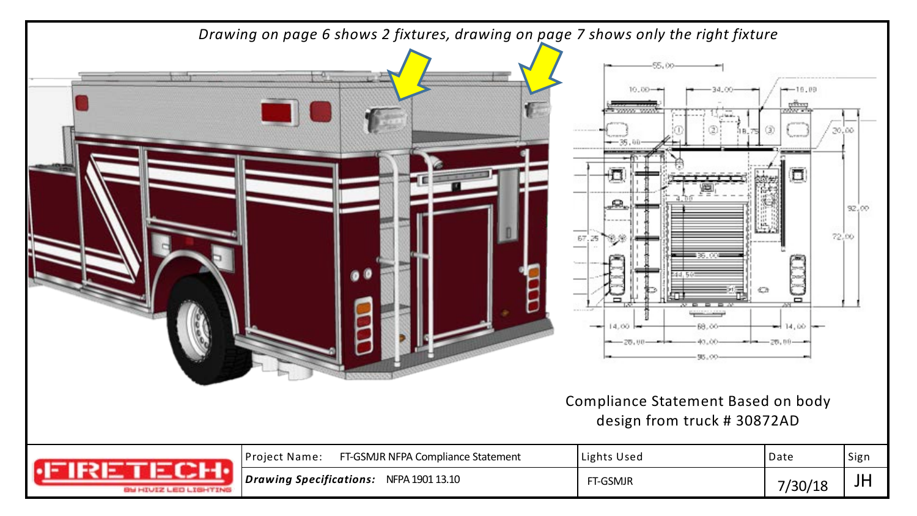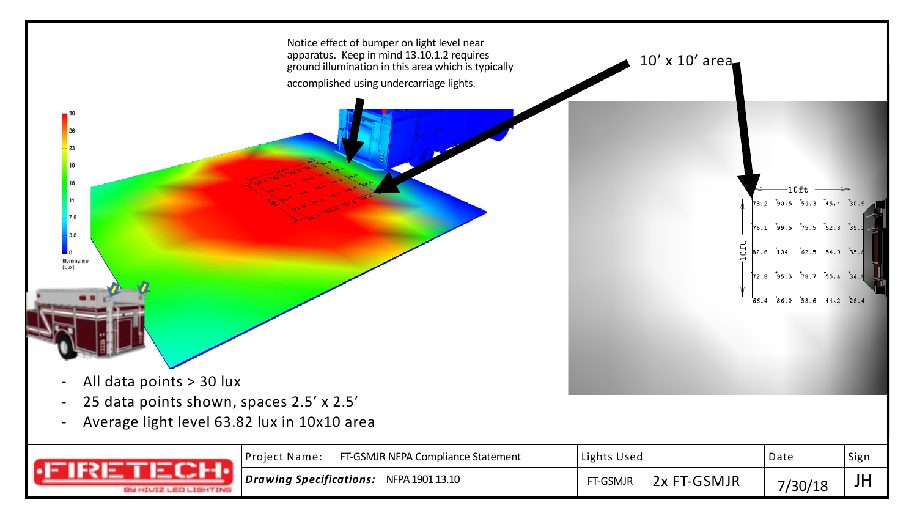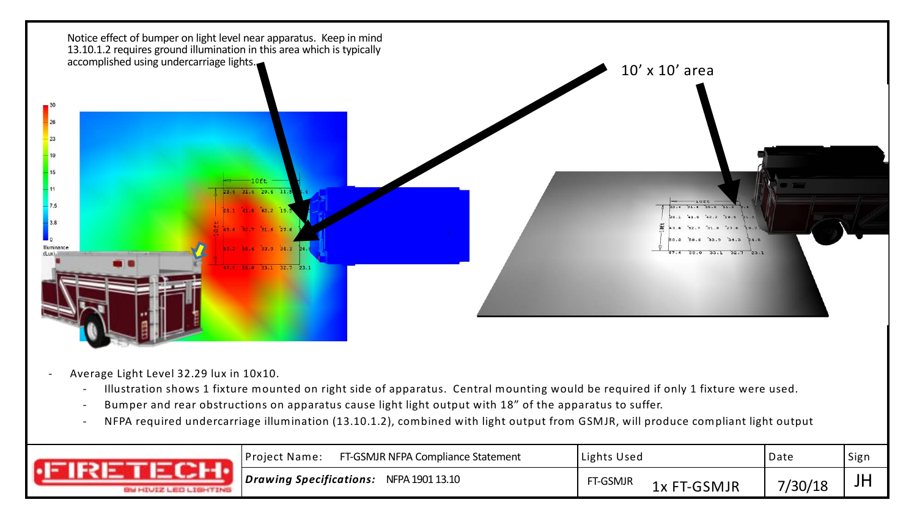

- Average Light Level 32.29 lux in 10x10.
	- Illustration shows 1 fixture mounted on right side of apparatus. Central mounting would be required if only 1 fixture were used.
	- Bumper and rear obstructions on apparatus cause light light output with 18" of the apparatus to suffer.
	- NFPA required undercarriage illumination (13.10.1.2), combined with light output from GSMJR, will produce compliant light output

| <b><i>IN HIUIZ LED LIGHTING</i></b> | FT-GSMJR NFPA Compliance Statement<br> Project Name: | Lights Used                            | Date    | <sup> </sup> Sign |
|-------------------------------------|------------------------------------------------------|----------------------------------------|---------|-------------------|
|                                     | Drawing Specifications:<br>NFPA 1901 13.10           | FT-GSMJR<br><sup>:</sup> T-GSMJR<br>1x | 7/30/18 | וע                |